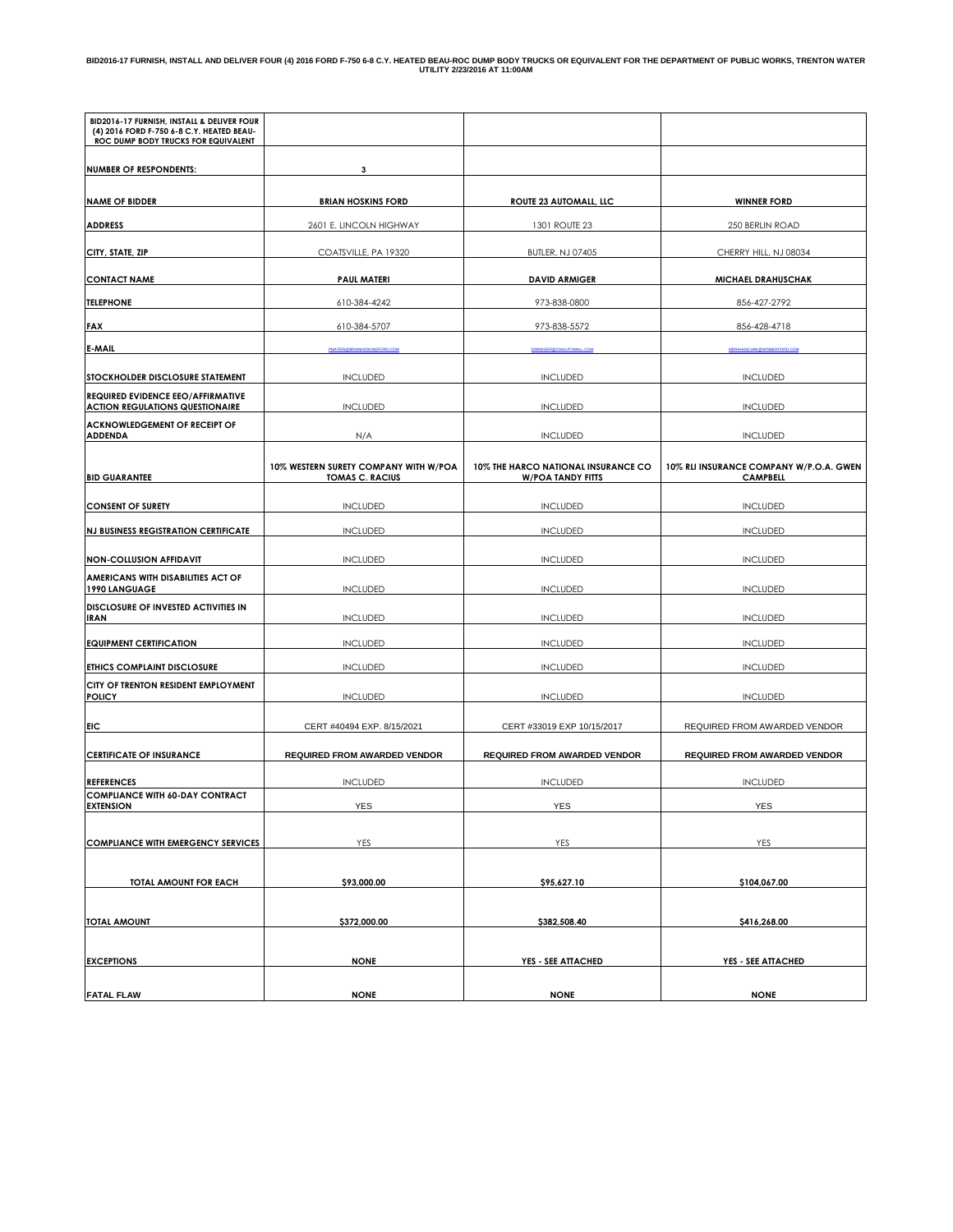| BID2016-17 FURNISH, INSTALL & DELIVER FOUR<br>(4) 2016 FORD F-750 6-8 C.Y. HEATED BEAU-<br>ROC DUMP BODY TRUCKS FOR EQUIVALENT |                                                                 |                                                                 |                                                            |  |
|--------------------------------------------------------------------------------------------------------------------------------|-----------------------------------------------------------------|-----------------------------------------------------------------|------------------------------------------------------------|--|
| <b>NUMBER OF RESPONDENTS:</b>                                                                                                  | 3                                                               |                                                                 |                                                            |  |
| <b>NAME OF BIDDER</b>                                                                                                          | <b>BRIAN HOSKINS FORD</b>                                       | ROUTE 23 AUTOMALL, LLC                                          | <b>WINNER FORD</b>                                         |  |
|                                                                                                                                |                                                                 |                                                                 |                                                            |  |
| <b>ADDRESS</b>                                                                                                                 | 2601 E. LINCOLN HIGHWAY                                         | 1301 ROUTE 23                                                   | 250 BERLIN ROAD                                            |  |
| CITY, STATE, ZIP                                                                                                               | COATSVILLE, PA 19320                                            | <b>BUTLER, NJ 07405</b>                                         | CHERRY HILL, NJ 08034                                      |  |
| <b>CONTACT NAME</b>                                                                                                            | <b>PAUL MATERI</b>                                              | <b>DAVID ARMIGER</b>                                            | <b>MICHAEL DRAHUSCHAK</b>                                  |  |
| <b>TELEPHONE</b>                                                                                                               | 610-384-4242                                                    | 973-838-0800                                                    | 856-427-2792                                               |  |
| <b>FAX</b>                                                                                                                     | 610-384-5707                                                    | 973-838-5572                                                    | 856-428-4718                                               |  |
| <b>E-MAIL</b>                                                                                                                  |                                                                 | <b>JER @23AUUTOMALL.COM</b>                                     |                                                            |  |
| STOCKHOLDER DISCLOSURE STATEMENT                                                                                               | <b>INCLUDED</b>                                                 | <b>INCLUDED</b>                                                 | <b>INCLUDED</b>                                            |  |
| REQUIRED EVIDENCE EEO/AFFIRMATIVE<br><b>ACTION REGULATIONS QUESTIONAIRE</b>                                                    | <b>INCLUDED</b>                                                 | <b>INCLUDED</b>                                                 | <b>INCLUDED</b>                                            |  |
| ACKNOWLEDGEMENT OF RECEIPT OF                                                                                                  |                                                                 |                                                                 |                                                            |  |
| <b>ADDENDA</b>                                                                                                                 | N/A                                                             | <b>INCLUDED</b>                                                 | <b>INCLUDED</b>                                            |  |
| <b>BID GUARANTEE</b>                                                                                                           | 10% WESTERN SURETY COMPANY WITH W/POA<br><b>TOMAS C. RACIUS</b> | 10% THE HARCO NATIONAL INSURANCE CO<br><b>W/POA TANDY FITTS</b> | 10% RLI INSURANCE COMPANY W/P.O.A. GWEN<br><b>CAMPBELL</b> |  |
| <b>CONSENT OF SURETY</b>                                                                                                       | <b>INCLUDED</b>                                                 | <b>INCLUDED</b>                                                 | <b>INCLUDED</b>                                            |  |
| <b>NJ BUSINESS REGISTRATION CERTIFICATE</b>                                                                                    | <b>INCLUDED</b>                                                 | <b>INCLUDED</b>                                                 | <b>INCLUDED</b>                                            |  |
|                                                                                                                                |                                                                 |                                                                 |                                                            |  |
| <b>NON-COLLUSION AFFIDAVIT</b><br>AMERICANS WITH DISABILITIES ACT OF                                                           | <b>INCLUDED</b>                                                 | <b>INCLUDED</b>                                                 | <b>INCLUDED</b>                                            |  |
| 1990 LANGUAGE                                                                                                                  | <b>INCLUDED</b>                                                 | <b>INCLUDED</b>                                                 | <b>INCLUDED</b>                                            |  |
| DISCLOSURE OF INVESTED ACTIVITIES IN<br><b>IRAN</b>                                                                            | <b>INCLUDED</b>                                                 | <b>INCLUDED</b>                                                 | <b>INCLUDED</b>                                            |  |
| <b>EQUIPMENT CERTIFICATION</b>                                                                                                 | <b>INCLUDED</b>                                                 | <b>INCLUDED</b>                                                 | <b>INCLUDED</b>                                            |  |
| ETHICS COMPLAINT DISCLOSURE                                                                                                    | <b>INCLUDED</b>                                                 | <b>INCLUDED</b>                                                 | <b>INCLUDED</b>                                            |  |
| CITY OF TRENTON RESIDENT EMPLOYMENT<br><b>POLICY</b>                                                                           | <b>INCLUDED</b>                                                 | <b>INCLUDED</b>                                                 | <b>INCLUDED</b>                                            |  |
|                                                                                                                                |                                                                 |                                                                 |                                                            |  |
| EIC                                                                                                                            | CERT #40494 EXP. 8/15/2021                                      | CERT #33019 EXP 10/15/2017                                      | REQUIRED FROM AWARDED VENDOR                               |  |
| <b>CERTIFICATE OF INSURANCE</b>                                                                                                | <b>REQUIRED FROM AWARDED VENDOR</b>                             | <b>REQUIRED FROM AWARDED VENDOR</b>                             | <b>REQUIRED FROM AWARDED VENDOR</b>                        |  |
| <b>REFERENCES</b>                                                                                                              | <b>INCLUDED</b>                                                 | <b>INCLUDED</b>                                                 | <b>INCLUDED</b>                                            |  |
| <b>COMPLIANCE WITH 60-DAY CONTRACT</b><br><b>EXTENSION</b>                                                                     | <b>YFS</b>                                                      | <b>YFS</b>                                                      | <b>YFS</b>                                                 |  |
|                                                                                                                                |                                                                 |                                                                 |                                                            |  |
| <b>COMPLIANCE WITH EMERGENCY SERVICES</b>                                                                                      | YES                                                             | YES                                                             | YES                                                        |  |
|                                                                                                                                |                                                                 |                                                                 |                                                            |  |
| TOTAL AMOUNT FOR EACH                                                                                                          | \$93,000.00                                                     | \$95,627.10                                                     | \$104,067.00                                               |  |
| <b>TOTAL AMOUNT</b>                                                                                                            | \$372,000.00                                                    | \$382,508.40                                                    | \$416,268.00                                               |  |
|                                                                                                                                |                                                                 |                                                                 |                                                            |  |
| <b>EXCEPTIONS</b>                                                                                                              | <b>NONE</b>                                                     | YES - SEE ATTACHED                                              | YES - SEE ATTACHED                                         |  |
|                                                                                                                                |                                                                 |                                                                 |                                                            |  |
| <b>FATAL FLAW</b>                                                                                                              | <b>NONE</b>                                                     | <b>NONE</b>                                                     | <b>NONE</b>                                                |  |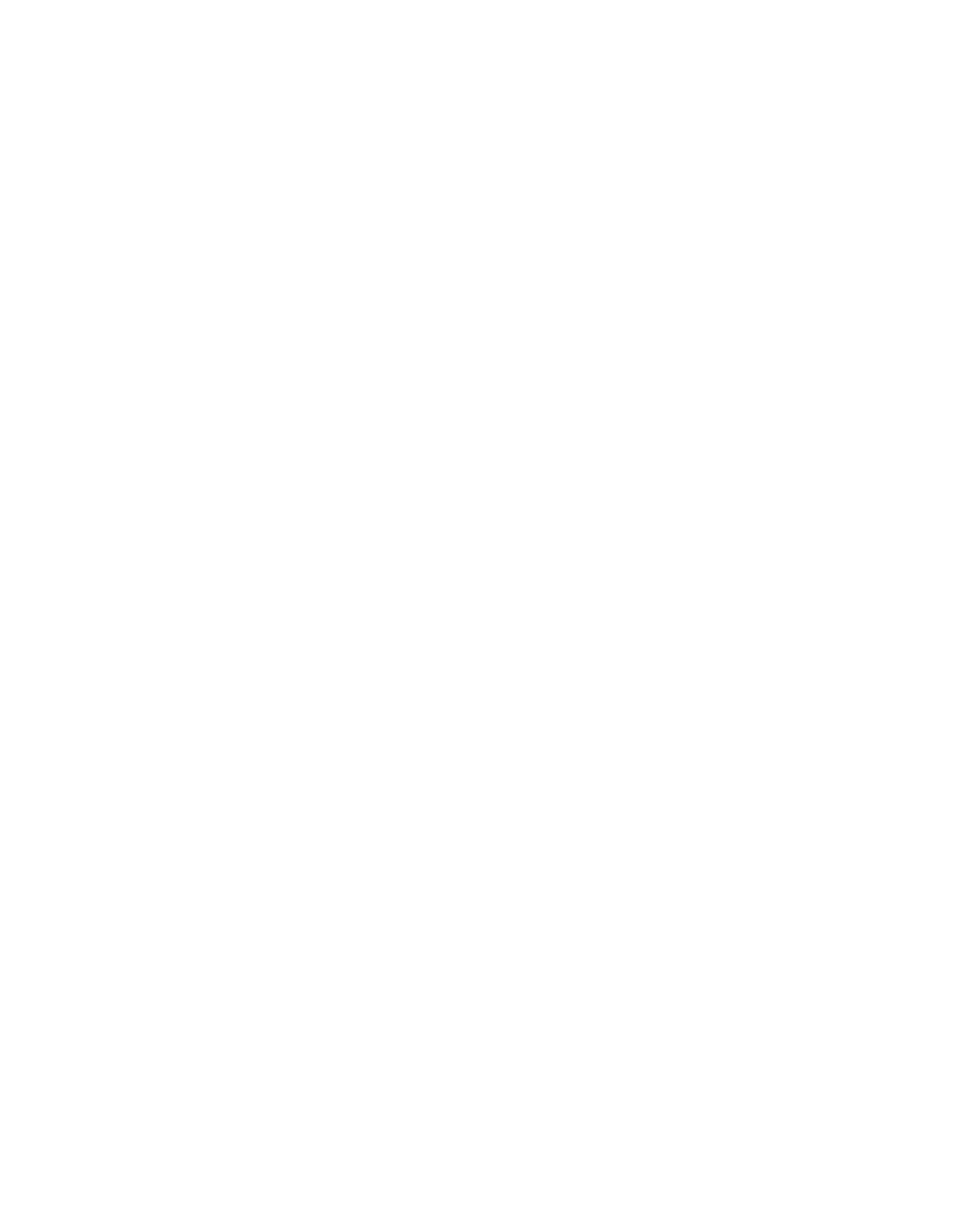| BID2016-17 FURNISH, INSTALL & DELIVER FOI<br>(4) 2016 FORD F-750 6-8 C.Y. HEATED BEAU-<br>ROC DUMP BODY TRUCKS FOR EQUIVALEN |                                                         |                                                          |                                                     |  |
|------------------------------------------------------------------------------------------------------------------------------|---------------------------------------------------------|----------------------------------------------------------|-----------------------------------------------------|--|
| NUMBER OF RESPONDENTS:                                                                                                       | 3                                                       |                                                          |                                                     |  |
| NAME OF BIDDER                                                                                                               | <b>BRIAN HOSKINS FORD</b>                               | ROUTE 23 AUTOMALL, LLC                                   | <b>WINNER FORD</b>                                  |  |
| <b>ADDRESS</b>                                                                                                               | 2601 E. LINCOLN HIGHWAY                                 | 1301 ROUTE 23                                            | 250 BERLIN ROAD                                     |  |
| CITY, STATE, ZIP                                                                                                             | COATSVILLE, PA 19320                                    | <b>BUTLER, NJ 07405</b>                                  | CHERRY HILL, NJ 08034                               |  |
| <b>CONTACT NAME</b>                                                                                                          | PAUL MATERI                                             | <b>DAVID ARMIGER</b>                                     | MICHAEL DRAHUSCHAK                                  |  |
| <b>TELEPHONE</b>                                                                                                             | 610-384-4242                                            | 973-838-0800                                             | 856-427-2792                                        |  |
| FAX                                                                                                                          | 610-384-5707                                            | 973-838-5572                                             | 856-428-4718                                        |  |
| E-MAIL                                                                                                                       |                                                         | RMGER #23AUUTOMALL.COM                                   |                                                     |  |
| STOCKHOLDER DISCLOSURE STATEMENT                                                                                             | <b>INCLUDED</b>                                         | <b>INCLUDED</b>                                          | <b>INCLUDED</b>                                     |  |
| REQUIRED EVIDENCE EEO/AFFIRMATIVE<br><b>ACTION REGULATIONS QUESTIONAIRE</b>                                                  | <b>INCLUDED</b>                                         | <b>INCLUDED</b>                                          | <b>INCLUDED</b>                                     |  |
| ACKNOWLEDGEMENT OF RECEIPT OF<br>ADDENDA                                                                                     | N/A                                                     | <b>INCLUDED</b>                                          | <b>INCLUDED</b>                                     |  |
| <b>BID GUARANTEE</b>                                                                                                         | 10% WESTERN SURETY COMPANY WITH W/PC<br>TOMAS C. RACIUS | 10% THE HARCO NATIONAL INSURANCE CO<br>W/POA TANDY FITTS | 10% RLI INSURANCE COMPANY W/P.O.A. GWEN<br>CAMPBELL |  |
| CONSENT OF SURETY                                                                                                            | <b>INCLUDED</b>                                         | <b>INCLUDED</b>                                          | <b>INCLUDED</b>                                     |  |
| NJ BUSINESS REGISTRATION CERTIFICATE                                                                                         | <b>INCLUDED</b>                                         | <b>INCLUDED</b>                                          | <b>INCLUDED</b>                                     |  |
| NON-COLLUSION AFFIDAVIT                                                                                                      | <b>INCLUDED</b>                                         | <b>INCLUDED</b>                                          | <b>INCLUDED</b>                                     |  |
| AMERICANS WITH DISABILITIES ACT OF<br>1990 LANGUAGE                                                                          | <b>INCLUDED</b>                                         | <b>INCLUDED</b>                                          | <b>INCLUDED</b>                                     |  |
| DISCLOSURE OF INVESTED ACTIVITIES IN<br><b>IRAN</b>                                                                          | <b>INCLUDED</b>                                         | <b>INCLUDED</b>                                          | <b>INCLUDED</b>                                     |  |
| EQUIPMENT CERTIFICATION                                                                                                      | <b>INCLUDED</b>                                         | <b>INCLUDED</b>                                          | <b>INCLUDED</b>                                     |  |
| ETHICS COMPLAINT DISCLOSURE                                                                                                  | <b>INCLUDED</b>                                         | <b>INCLUDED</b>                                          | <b>INCLUDED</b>                                     |  |
| CITY OF TRENTON RESIDENT EMPLOYME<br><b>POLICY</b>                                                                           | <b>INCLUDED</b>                                         | <b>INCLUDED</b>                                          | <b>INCLUDED</b>                                     |  |
| <b>EIC</b>                                                                                                                   | CERT #40494 EXP. 8/15/2021                              | CERT #33019 EXP 10/15/2017                               | REQUIRED FROM AWARDED VENDOR                        |  |
| CERTIFICATE OF INSURANCE                                                                                                     | REQUIRED FROM AWARDED VENDOR                            | REQUIRED FROM AWARDED VENDOR                             | REQUIRED FROM AWARDED VENDOR                        |  |
| <b>REFERENCES</b>                                                                                                            | <b>INCLUDED</b>                                         | <b>INCLUDED</b>                                          | <b>INCLUDED</b>                                     |  |
| COMPLIANCE WITH 60-DAY CONTRACT<br><b>EXTENSION</b>                                                                          | <b>YES</b>                                              | <b>YES</b>                                               | <b>YES</b>                                          |  |
| COMPLIANCE WITH EMERGENCY SERVICES                                                                                           | YES                                                     | YES                                                      | <b>YES</b>                                          |  |
|                                                                                                                              |                                                         |                                                          |                                                     |  |
| TOTAL AMOUNT FOR EACH                                                                                                        | \$93,000.00                                             | \$95,627.10                                              | \$104,067.00                                        |  |
| <b>TOTAL AMOUNT</b>                                                                                                          | \$372,000.00                                            | \$382,508.40                                             | \$416,268.00                                        |  |
|                                                                                                                              |                                                         |                                                          |                                                     |  |
| <b>EXCEPTIONS</b>                                                                                                            | <b>NONE</b>                                             | YES - SEE ATTACHED                                       | YES - SEE ATTACHED                                  |  |
| <b>FATAL FLAW</b>                                                                                                            | <b>NONE</b>                                             | <b>NONE</b>                                              | <b>NONE</b>                                         |  |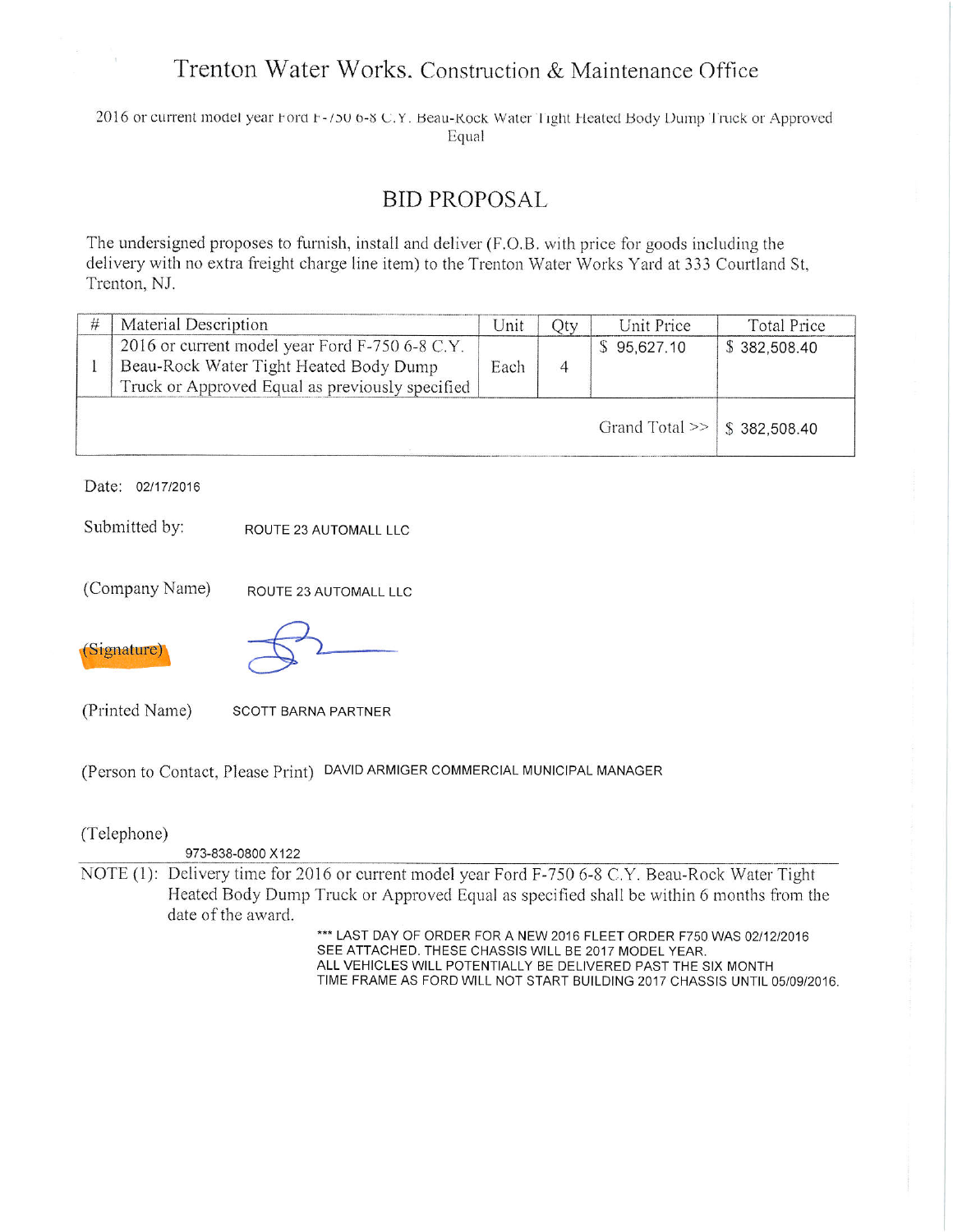# Trenton Water Works. Construction & Maintenance Office

2016 or current model year Ford F-/50 6-8 C.Y. Beau-Rock Water Tight Heated Body Dump Truck or Approved Equal

# **BID PROPOSAL**

The undersigned proposes to furnish, install and deliver (F.O.B. with price for goods including the delivery with no extra freight charge line item) to the Trenton Water Works Yard at 333 Courtland St, Trenton, NJ.

|                                  | Material Description                                                                                                                        | Unit | Oty | Unit Price  | Total Price  |
|----------------------------------|---------------------------------------------------------------------------------------------------------------------------------------------|------|-----|-------------|--------------|
|                                  | 2016 or current model year Ford F-750 6-8 C.Y.<br>Beau-Rock Water Tight Heated Body Dump<br>Truck or Approved Equal as previously specified | Each |     | \$95,627.10 | \$382,508.40 |
| Grand Total $>>$   \$ 382,508.40 |                                                                                                                                             |      |     |             |              |

Date: 02/17/2016

Submitted by: ROUTE 23 AUTOMALL LLC

(Company Name) ROUTE 23 AUTOMALL LLC

Signature)



(Printed Name) **SCOTT BARNA PARTNER** 

(Person to Contact, Please Print) DAVID ARMIGER COMMERCIAL MUNICIPAL MANAGER

(Telephone)

973-838-0800 X122 NOTE (1): Delivery time for 2016 or current model year Ford F-750 6-8 C.Y. Beau-Rock Water Tight Heated Body Dump Truck or Approved Equal as specified shall be within 6 months from the date of the award. \*\*\* LAST DAY OF ORDER FOR A NEW 2016 FLEET ORDER F750 WAS 02/12/2016 SEE ATTACHED. THESE CHASSIS WILL BE 2017 MODEL YEAR.

ALL VEHICLES WILL POTENTIALLY BE DELIVERED PAST THE SIX MONTH TIME FRAME AS FORD WILL NOT START BUILDING 2017 CHASSIS UNTIL 05/09/2016.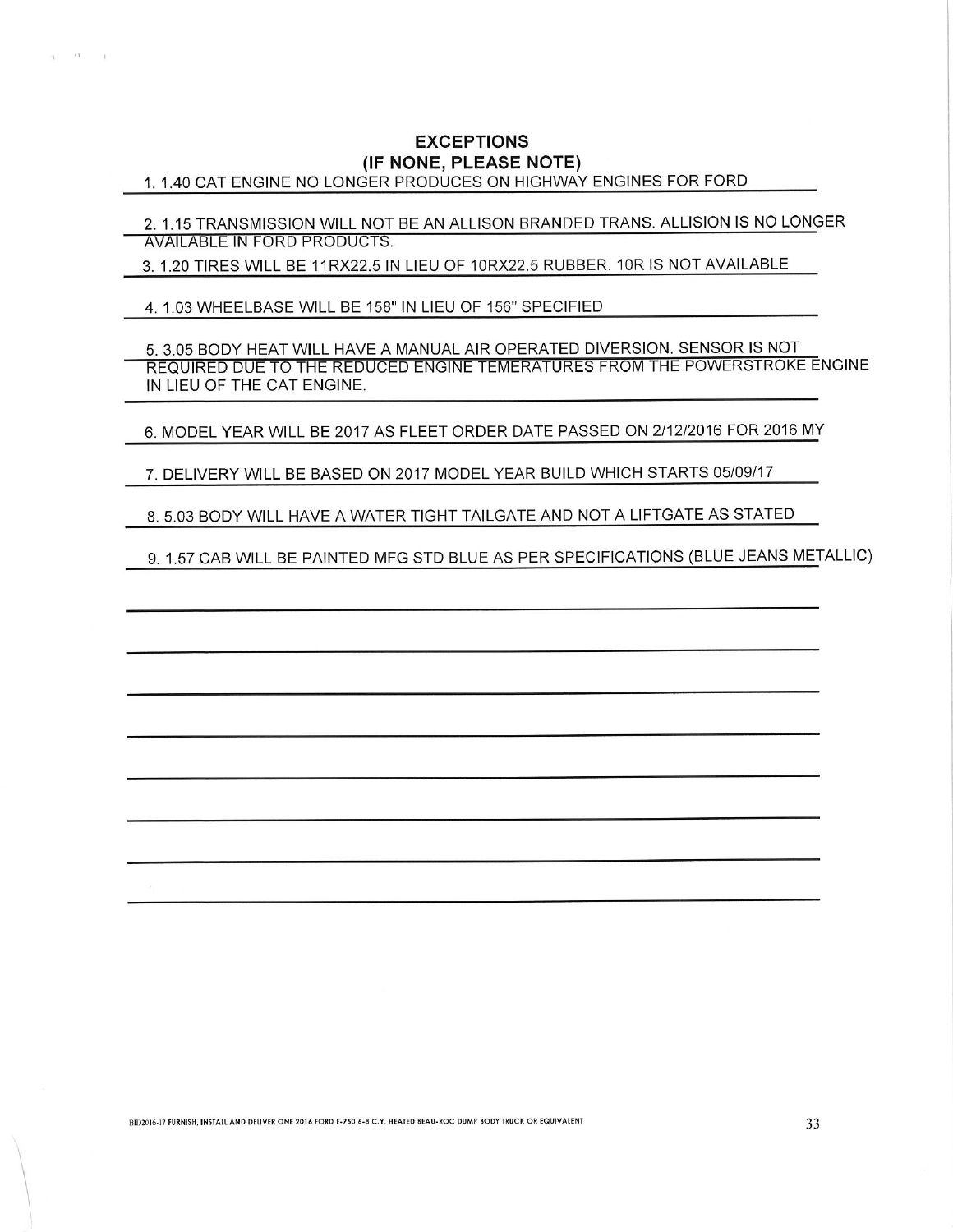### **EXCEPTIONS** (IF NONE, PLEASE NOTE)

#### 1. 1.40 CAT ENGINE NO LONGER PRODUCES ON HIGHWAY ENGINES FOR FORD

2. 1.15 TRANSMISSION WILL NOT BE AN ALLISON BRANDED TRANS. ALLISION IS NO LONGER **AVAILABLE IN FORD PRODUCTS.** 

3. 1.20 TIRES WILL BE 11RX22.5 IN LIEU OF 10RX22.5 RUBBER. 10R IS NOT AVAILABLE

4. 1.03 WHEELBASE WILL BE 158" IN LIEU OF 156" SPECIFIED

 $\alpha = -11$ 

5. 3.05 BODY HEAT WILL HAVE A MANUAL AIR OPERATED DIVERSION. SENSOR IS NOT REQUIRED DUE TO THE REDUCED ENGINE TEMERATURES FROM THE POWERSTROKE ENGINE IN LIEU OF THE CAT ENGINE.

6. MODEL YEAR WILL BE 2017 AS FLEET ORDER DATE PASSED ON 2/12/2016 FOR 2016 MY

7. DELIVERY WILL BE BASED ON 2017 MODEL YEAR BUILD WHICH STARTS 05/09/17

8, 5.03 BODY WILL HAVE A WATER TIGHT TAILGATE AND NOT A LIFTGATE AS STATED

9. 1.57 CAB WILL BE PAINTED MFG STD BLUE AS PER SPECIFICATIONS (BLUE JEANS METALLIC)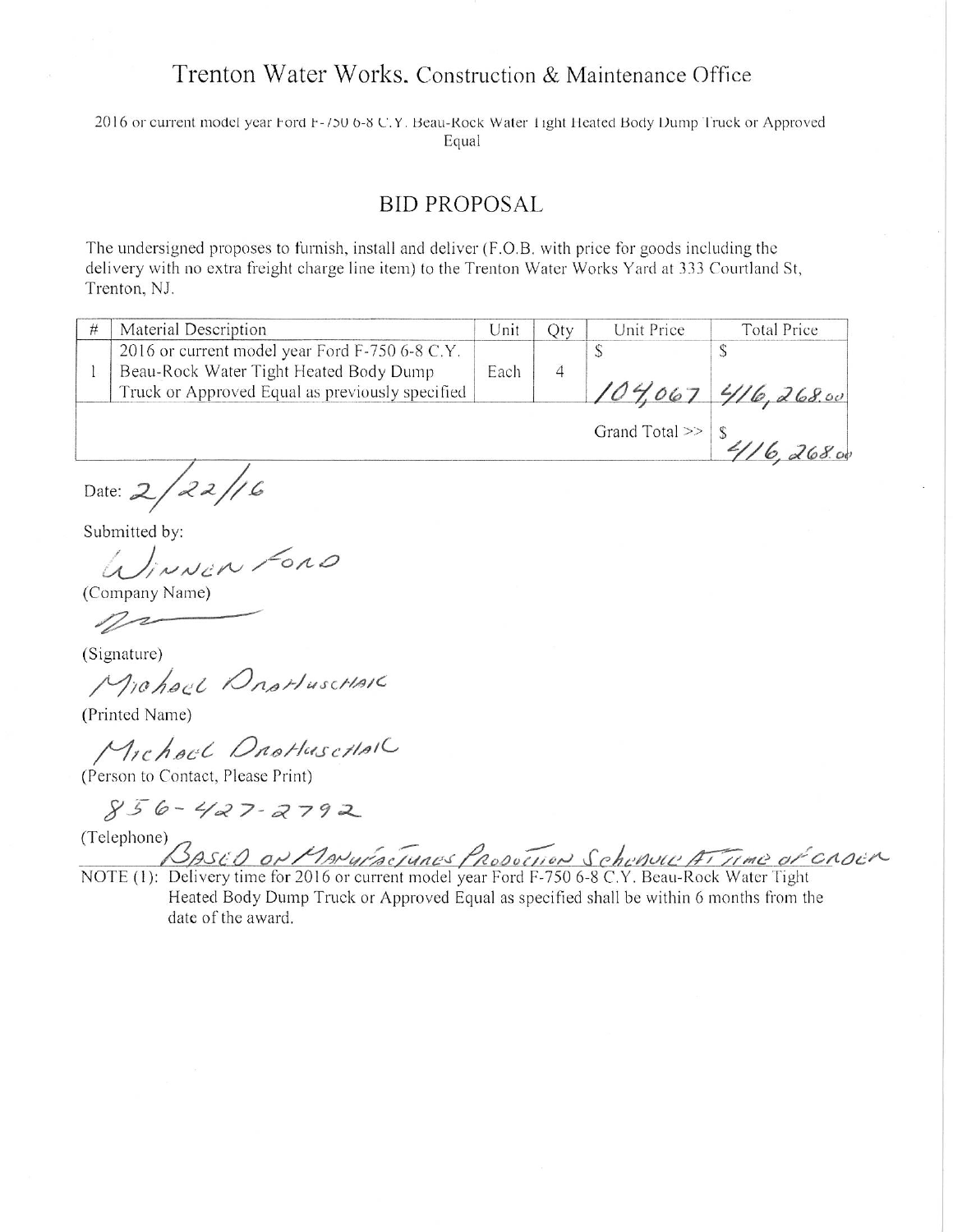# Trenton Water Works, Construction & Maintenance Office

2016 or current model year Ford F-750 6-8 C.Y. Beau-Rock Water Light Heated Body Dump Truck or Approved Equal

## **BID PROPOSAL**

The undersigned proposes to furnish, install and deliver (F.O.B. with price for goods including the delivery with no extra freight charge line item) to the Trenton Water Works Yard at 333 Courtland St, Trenton, NJ.

| Material Description                                                                     | Unit | $\overline{)}$ tv | Unit Price                  | Total Price      |
|------------------------------------------------------------------------------------------|------|-------------------|-----------------------------|------------------|
| 2016 or current model year Ford F-750 6-8 C.Y.<br>Beau-Rock Water Tight Heated Body Dump | Each |                   |                             |                  |
| Truck or Approved Equal as previously specified                                          |      |                   |                             | 04,067416,268.00 |
|                                                                                          |      |                   | Grand Total $\gg$ $\mid$ \; |                  |
|                                                                                          |      |                   |                             | 416.268.00       |

Date:  $2/22/16$ <br>Submitted by:<br>WinNEN FORD

(Company Name)

 $n$ (Signature)

Michael DRAHUSCHAIC

(Printed Name)

Michoel DRoHuscript

 $856 - 427 - 2792$ 

(Telephone)<br>
Session of *Margines Proposition* Scheppuce AT Time of CADER<br>
NOTE (1): Delivery time for 2016 or current model year Ford F-750 6-8 C.Y. Beau-Rock Water Tight Heated Body Dump Truck or Approved Equal as specified shall be within 6 months from the date of the award.